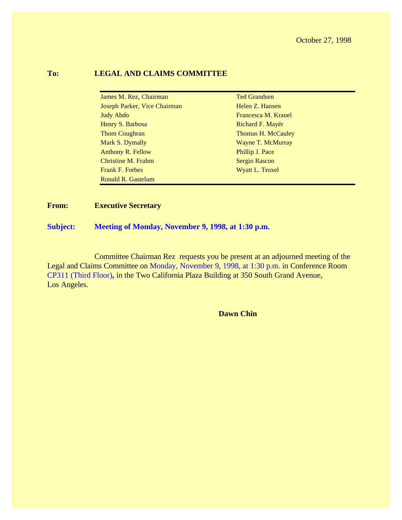October 27, 1998

#### **To: LEGAL AND CLAIMS COMMITTEE**

| James M. Rez, Chairman       | <b>Ted Grandsen</b>  |
|------------------------------|----------------------|
| Joseph Parker, Vice Chairman | Helen Z. Hansen      |
| <b>Judy Abdo</b>             | Francesca M. Krauel  |
| Henry S. Barbosa             | Richard F. Mayér     |
| <b>Thom Coughran</b>         | Thomas H. McCauley   |
| Mark S. Dymally              | Wayne T. McMurray    |
| <b>Anthony R. Fellow</b>     | Phillip J. Pace      |
| Christine M. Frahm           | <b>Sergio Rascon</b> |
| <b>Frank F. Forbes</b>       | Wyatt L. Troxel      |
| Ronald R. Gastelum           |                      |

#### **From: Executive Secretary**

**Subject: Meeting of Monday, November 9, 1998, at 1:30 p.m.**

Committee Chairman Rez requests you be present at an adjourned meeting of the Legal and Claims Committee on Monday, November 9, 1998, at 1:30 p.m. in Conference Room CP311 (Third Floor)**,** in the Two California Plaza Building at 350 South Grand Avenue, Los Angeles.

**Dawn Chin**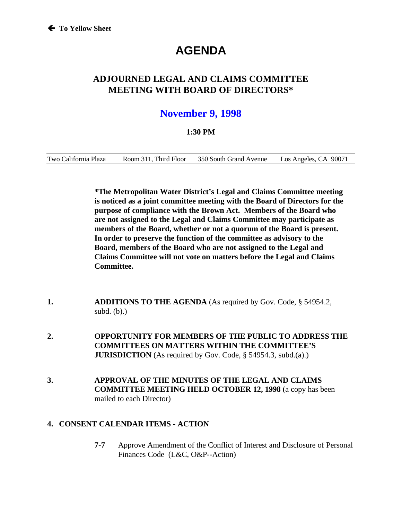# **AGENDA**

# **ADJOURNED LEGAL AND CLAIMS COMMITTEE MEETING WITH BOARD OF DIRECTORS\***

# **November 9, 1998**

#### **1:30 PM**

Two California Plaza Room 311, Third Floor 350 South Grand Avenue Los Angeles, CA 90071

**\*The Metropolitan Water District's Legal and Claims Committee meeting is noticed as a joint committee meeting with the Board of Directors for the purpose of compliance with the Brown Act. Members of the Board who are not assigned to the Legal and Claims Committee may participate as members of the Board, whether or not a quorum of the Board is present. In order to preserve the function of the committee as advisory to the Board, members of the Board who are not assigned to the Legal and Claims Committee will not vote on matters before the Legal and Claims Committee.**

- **1. ADDITIONS TO THE AGENDA** (As required by Gov. Code, § 54954.2, subd. (b).)
- **2. OPPORTUNITY FOR MEMBERS OF THE PUBLIC TO ADDRESS THE COMMITTEES ON MATTERS WITHIN THE COMMITTEE'S JURISDICTION** (As required by Gov. Code, § 54954.3, subd.(a).)
- **3. APPROVAL OF THE MINUTES OF THE LEGAL AND CLAIMS COMMITTEE MEETING HELD OCTOBER 12, 1998** (a copy has been mailed to each Director)

#### **4. CONSENT CALENDAR ITEMS - ACTION**

**7-7** Approve Amendment of the Conflict of Interest and Disclosure of Personal Finances Code (L&C, O&P--Action)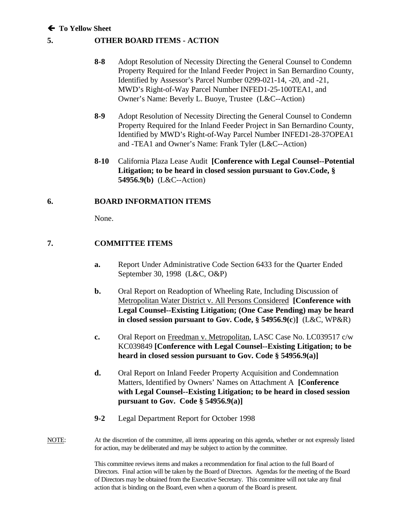#### Á **To Yellow Sheet**

#### **5. OTHER BOARD ITEMS - ACTION**

- **8-8** Adopt Resolution of Necessity Directing the General Counsel to Condemn Property Required for the Inland Feeder Project in San Bernardino County, Identified by Assessor's Parcel Number 0299-021-14, -20, and -21, MWD's Right-of-Way Parcel Number INFED1-25-100TEA1, and Owner's Name: Beverly L. Buoye, Trustee (L&C--Action)
- **8-9** Adopt Resolution of Necessity Directing the General Counsel to Condemn Property Required for the Inland Feeder Project in San Bernardino County, Identified by MWD's Right-of-Way Parcel Number INFED1-28-37OPEA1 and -TEA1 and Owner's Name: Frank Tyler (L&C--Action)
- **8-10** California Plaza Lease Audit **[Conference with Legal Counsel--Potential Litigation; to be heard in closed session pursuant to Gov.Code, § 54956.9(b)** (L&C--Action)

#### **6. BOARD INFORMATION ITEMS**

None.

#### **7. COMMITTEE ITEMS**

- **a.** Report Under Administrative Code Section 6433 for the Quarter Ended September 30, 1998 (L&C, O&P)
- **b.** Oral Report on Readoption of Wheeling Rate, Including Discussion of Metropolitan Water District v. All Persons Considered **[Conference with Legal Counsel--Existing Litigation; (One Case Pending) may be heard in closed session pursuant to Gov. Code, § 54956.9(c**)**]** (L&C, WP&R)
- **c.** Oral Report on Freedman v. Metropolitan, LASC Case No. LC039517 c/w KC039849 **[Conference with Legal Counsel--Existing Litigation; to be heard in closed session pursuant to Gov. Code § 54956.9(a)]**
- **d.** Oral Report on Inland Feeder Property Acquisition and Condemnation Matters, Identified by Owners' Names on Attachment A **[Conference with Legal Counsel--Existing Litigation; to be heard in closed session pursuant to Gov. Code § 54956.9(a)]**
- **9-2** Legal Department Report for October 1998
- NOTE: At the discretion of the committee, all items appearing on this agenda, whether or not expressly listed for action, may be deliberated and may be subject to action by the committee.

This committee reviews items and makes a recommendation for final action to the full Board of Directors. Final action will be taken by the Board of Directors. Agendas for the meeting of the Board of Directors may be obtained from the Executive Secretary. This committee will not take any final action that is binding on the Board, even when a quorum of the Board is present.